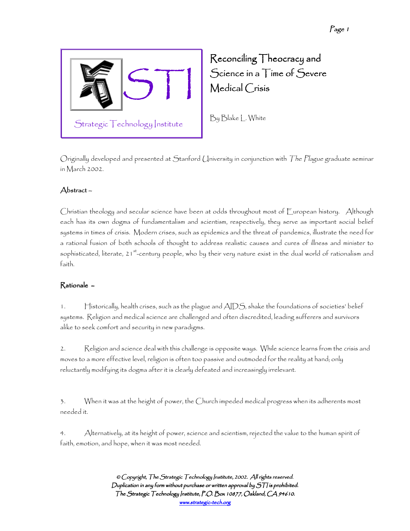

Reconciling Theocracy and  $S$ cience in a  $T$ ime of  $S$ evere Medical Crisis

By Blake L. White

Originally developed and presented at Stanford University in conjunction with The Plague graduate seminar in March 2002.

### Abstract – –

Christian theology and secular science have been at odds throughout most of European history. Although each has its own dogma of fundamentalism and scientism, respectively, they serve as important social belief systems in times of crisis. Modern crises, such as epidemics and the threat of pandemics, illustrate the need for a rational fusion of both schools of thought to address realistic causes and cures of illness and minister to sophisticated, literate, 21<sup>st</sup>-century people, who by their very nature exist in the dual world of rationalism and faith.

## Rationale – –

1. Historically, health crises, such as the plague and AIDS, shake the foundations of societies' belief systems. Religion and medical science are challenged and often discredited, leading sufferers and survivors alike to seek comfort and security in new paradigms.

2. Religion and science deal with this challenge is opposite ways. While science learns from the crisis and moves to a more effective level, religion is often too passive and outmoded for the reality at hand; only reluctantly modifying its dogma after it is clearly defeated and increasingly irrelevant.

3. When it was at the height of power, the Church impeded medical progress when its adherents most needed it.

4. Alternatively, at its height of power, science and scientism, rejected the value to the human spirit of faith, emotion, and hope, when it was most needed.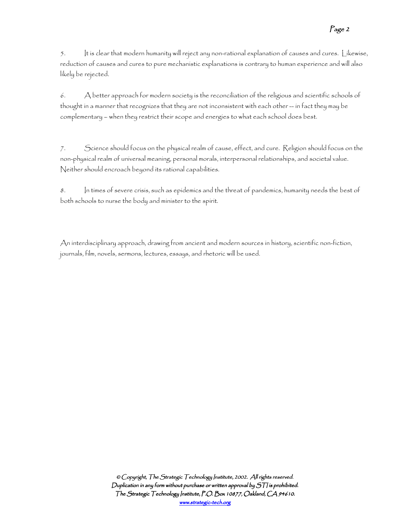5. It is clear that modern humanity will reject any non-rational explanation of causes and cures. Likewise, reduction of causes and cures to pure mechanistic explanations is contrary to human experience and will also likely be rejected.

6. A better approach for modern society is the reconciliation of the religious and scientific schools of thought in a manner that recognizes that they are not inconsistent with each other -- in fact they may be complementary – when they restrict their scope and energies to what each school does best.

7. Science should focus on the physical realm of cause, effect, and cure. Religion should focus on the non-physical realm of universal meaning, personal morals, interpersonal relationships, and societal value. Neither should encroach beyond its rational capabilities.

8. In times of severe crisis, such as epidemics and the threat of pandemics, humanity needs the best of both schools to nurse the body and minister to the spirit.

An interdisciplinary approach, drawing from ancient and modern sources in history, scientific non-fiction, journals, film, novels, sermons, lectures, essays, and rhetoric will be used.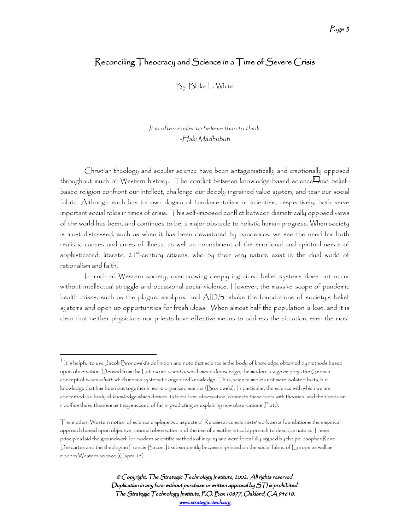# Reconciling Theocracy and Science in a Time of Severe Crisis

By Blake L. White

#### It is often easier to believe than to think. -Haki Madhubuti

Christian theology and secular science have been antagonistically and emotionally opposed throughout much of Western history. The conflict between knowledge-based science' and beliefbased religion confront our intellect, challenge our deeply ingrained value system, and tear our social fabric. Although each has its own dogma of fundamentalism or scientism, respectively, both serve important social roles in times of crisis. This self-imposed conflict between diametrically opposed views of the world has been, and continues to be, a major obstacle to holistic human progress. When society is most distressed, such as when it has been devastated by pandemics, we see the need for both realistic causes and cures of illness, as well as nourishment of the emotional and spiritual needs of sophisticated, literate, 21<sup>st</sup>-century citizens, who by their very nature exist in the dual world of rationalism and faith.

In much of Western society, overthrowing deeply ingrained belief systems does not occur without intellectual struggle and occasional social violence. However, the massive scope of pandemic health crises, such as the plague, smallpox, and AIDS, shake the foundations of society's belief systems and open up opportunities for fresh ideas. When almost half the population is lost, and it is clear that neither physicians nor priests have effective means to address the situation, even the most

 $^1$  ]t is helpful to use Jacob Bronowski's definition and note that science is the body of knowledge obtained by methods based upon observation. Derived from the Latin word scientia, which means knowledge, the modern usage employs the German concept of wisenschaft, which means systematic organized knowledge. Thus, science implies not mere isolated facts, but knowledge that has been put together in some organized manner (Bronowski). In particular, the science with which we are concerned is a body of knowledge which derives its facts from observation, connects these facts with theories, and then tests or modifies these theories as they succeed of fail in predicting or explaining new observations (Platt).

The modern Western notion of science employs two aspects of Renaissance scientists' work as its foundations: the empirical approach based upon objective, rational observation and the use of a mathematical approach to describe nature. These principles laid the groundwork for modern scientific methods of inquiry and were forcefully argued by the philosopher Rene Descartes and the theologian Francis Bacon. It subsequently became imprinted on the social fabric of Europe as well as modern Western science (Capra 15).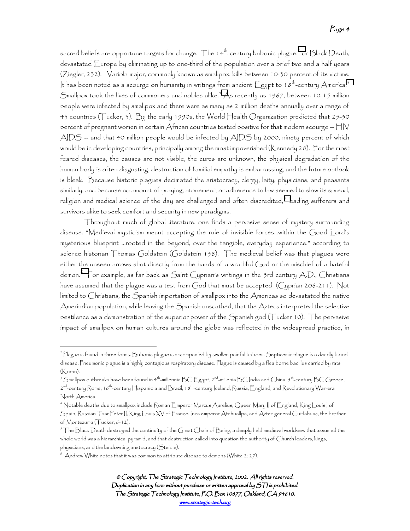sacred beliefs are opportune targets for change. The 14<sup>th</sup>-century bubonic plague, $^2$  or Black Death, devastated Europe by eliminating up to one-third of the population over a brief two and a half years (Ziegler, 232). Variola major, commonly known as smallpox, kills between 10-30 percent of its victims. It has been noted as a scourge on humanity in writings from ancient  $E$ gypt to 18<sup>th</sup>-century America.<sup>3</sup> Smallpox took the lives of commoners and nobles alike.4 As recently as 1967, between 10-15 million people were infected by smallpox and there were as many as 2 million deaths annually over a range of 43 countries (Tucker, 3). By the early 1990s, the World Health Organization predicted that 25-30 percent of pregnant women in certain  $A$ frican countries tested positive for that modern scourge  $-\frac{1}{2}$  $\mathsf{AIDS}\!-\!$  and that 40 million people would be infected by  $\mathsf{AIDS}\,$  by 2000, ninety percent of which would be in developing countries, principally among the most impoverished (Kennedy 28). For the most feared diseases, the causes are not visible, the cures are unknown, the physical degradation of the human body is often disgusting, destruction of familial empathy is embarrassing, and the future outlook is bleak. Because historic plagues decimated the aristocracy, clergy, laity, physicians, and peasants similarly, and because no amount of praying, atonement, or adherence to law seemed to slow its spread, religion and medical science of the day are challenged and often discredited, $^5$  leading sufferers and survivors alike to seek comfort and security in new paradigms.

Throughout much of global literature, one finds a pervasive sense of mystery surrounding disease. "Medieval mysticism meant accepting the rule of invisible forces…within the Good Lord's mysterious blueprint …rooted in the beyond, over the tangible, everyday experience," according to science historian Thomas Goldstein (Goldstein 138). The medieval belief was that plagues were either the unseen arrows shot directly from the hands of a wrathful God or the mischief of a hateful demon.<sup>6</sup> For example, as far back as Saint Cyprian's writings in the 3rd century A.D., Christians have assumed that the plague was a test from God that must be accepted (Cyprian 206-211). Not limited to Christians, the Spanish importation of smallpox into the Americas so devastated the native Amerindian population, while leaving the Spanish unscathed, that the Aztecs interpreted the selective pestilence as a demonstration of the superior power of the Spanish god (Tucker 10). The pervasive impact of smallpox on human cultures around the globe was reflected in the widespread practice, in

<sup>2</sup> Plague is found in three forms. Bubonic plague is accompanied by swollen painful buboes. Septicemic plague is a deadly blood disease. Pneumonic plague is a highly contagious respiratory disease. Plague is caused by a flea borne bacillus carried by rats (Koran).

 $^3$  Smallpox outbreaks have been found in 4th-millennia BC Egypt, 2nd-millenia BC India and China, 5th-century BC Greece, 2nd-century Rome, 16th-century Hispaniola and Brazil, 18th-century Iceland, Russia, England, and Revolutionary War-era

North America.

<sup>4</sup> Notable deaths due to smallpox include Roman Emperor Marcus Aurelius, Queen Mary II of England, King Louis I of Spain, Russian Tsar Peter II, King Louis XV of France, Inca emperor Atahuallpa, and Aztec general Cuitlahuac, the brother of Montezuma (Tucker, 6-12).

 $^5$  The Black Death destroyed the continuity of the Great Chain of Being, a deeply held medieval worldview that assumed the whole world was a hierarchical pyramid, and that destruction called into question the authority of Church leaders, kings, physicians, and the landowning aristocracy (Steidle).

<sup>6</sup> Andrew White notes that it was common to attribute disease to demons (White 2: 27).

<sup>©</sup> Copyright, The Strategic Technology Institute, 2002. All rights reserved. Duplication in any form without purchase or written approval by  $S\mathcal{T}$  is prohibited. The Strategic Technology Institute, P.O. Box 10877, Oakland, CA 94610. www.strategic-tech.org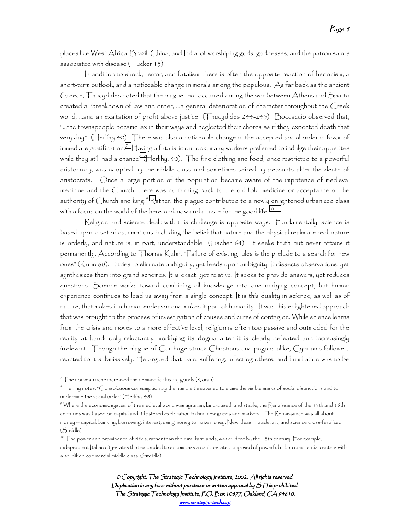places like West Africa, Brazil, China, and India, of worshiping gods, goddesses, and the patron saints associated with disease (Tucker 13).

In addition to shock, terror, and fatalism, there is often the opposite reaction of hedonism, a short-term outlook, and a noticeable change in morals among the populous. As far back as the ancient Greece, Thucydides noted that the plague that occurred during the war between Athens and Sparta created a "breakdown of law and order, …a general deterioration of character throughout the Greek world, …and an exaltation of profit above justice" (Thucydides 244-245). Boccaccio observed that, "…the townspeople became lax in their ways and neglected their chores as if they expected death that very day" (Herlihy 40). There was also a noticeable change in the accepted social order in favor of immediate gratification. $^7$   $\rm{H}$ aving a fatalistic outlook, many workers preferred to indulge their appetites while they still had a chance $^s$  (Herlihy, 40). The fine clothing and food, once restricted to a powerful aristocracy, was adopted by the middle class and sometimes seized by peasants after the death of aristocrats. Once a large portion of the population became aware of the impotence of medieval medicine and the Church, there was no turning back to the old folk medicine or acceptance of the authority of Church and king. $^{\circ}$  Rather, the plague contributed to a newly enlightened urbanized class with a focus on the world of the here-and-now and a taste for the good life.<sup>10</sup>

Religion and science dealt with this challenge is opposite ways. Fundamentally, science is based upon a set of assumptions, including the belief that nature and the physical realm are real, nature is orderly, and nature is, in part, understandable (Fischer 64). It seeks truth but never attains it permanently. According to Thomas Kuhn, "Failure of existing rules is the prelude to a search for new ones" (Kuhn 68). It tries to eliminate ambiguity, yet feeds upon ambiguity. It dissects observations, yet synthesizes them into grand schemes. It is exact, yet relative. It seeks to provide answers, yet reduces questions. Science works toward combining all knowledge into one unifying concept, but human experience continues to lead us away from a single concept. It is this duality in science, as well as of nature, that makes it a human endeavor and makes it part of humanity. It was this enlightened approach that was brought to the process of investigation of causes and cures of contagion. While science learns from the crisis and moves to a more effective level, religion is often too passive and outmoded for the reality at hand; only reluctantly modifying its dogma after it is clearly defeated and increasingly irrelevant. Though the plague of Carthage struck Christians and pagans alike, Cyprian's followers reacted to it submissively. He argued that pain, suffering, infecting others, and humiliation was to be

 $^7$  The nouveau riche increased the demand for luxury goods (Koran).

 $\,^s$  Herlihy notes, "Conspicuous consumption by the humble threatened to erase the visible marks of social distinctions and to undermine the social order" (Herlihy 48).

<sup>9</sup> Where the economic system of the medieval world was agrarian, land-based, and stable, the Renaissance of the 15th and 16th centuries was based on capital and it fostered exploration to find new goods and markets. The Renaissance was all about money -- capital, banking, borrowing, interest, using money to make money. New ideas in trade, art, and science cross-fertilized (Steidle).

<sup>&</sup>lt;sup>10</sup> The power and prominence of cities, rather than the rural farmlands, was evident by the 13th century. For example, independent Italian city-states that expanded to encompass a nation-state composed of powerful urban commercial centers with a solidified commercial middle class (Steidle).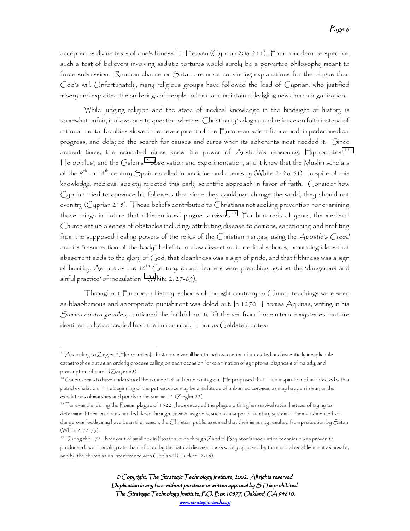accepted as divine tests of one's fitness for Heaven (Cyprian 206-211). From a modern perspective, such a test of believers involving sadistic tortures would surely be a perverted philosophy meant to force submission. Random chance or Satan are more convincing explanations for the plague than God's will. Unfortunately, many religious groups have followed the lead of Cyprian, who justified misery and exploited the sufferings of people to build and maintain a fledgling new church organization.

While judging religion and the state of medical knowledge in the hindsight of history is somewhat unfair, it allows one to question whether Christianity's dogma and reliance on faith instead of rational mental faculties slowed the development of the European scientific method, impeded medical progress, and delayed the search for causes and cures when its adherents most needed it. Since ancient times, the educated elites knew the power of Aristotle's reasoning,  $\bigcap$ ippocrates',  $\bigcap$ Herophilus', and the Galen's<sup>12</sup> observation and experimentation, and it knew that the Muslim scholars of the  $9^{\text{th}}$  to 14<sup>th</sup>-century Spain excelled in medicine and chemistry (White 2: 26-51). In spite of this knowledge, medieval society rejected this early scientific approach in favor of faith. Consider how Cyprian tried to convince his followers that since they could not change the world, they should not even try (Cyprian 218). These beliefs contributed to Christians not seeking prevention nor examining those things in nature that differentiated plague survivors.<sup>13</sup> For hundreds of years, the medieval Church set up a series of obstacles including: attributing disease to demons, sanctioning and profiting from the supposed healing powers of the relics of the Christian martyrs, using the Apostle's Creed and its "resurrection of the body" belief to outlaw dissection in medical schools, promoting ideas that abasement adds to the glory of God, that cleanliness was a sign of pride, and that filthiness was a sign of humility. As late as the 18<sup>th</sup> Century, church leaders were preaching against the 'dangerous and  $sinful$  practice' of inoculation<sup>14</sup> (White 2: 27-69).

Throughout European history, schools of thought contrary to Church teachings were seen as blasphemous and appropriate punishment was doled out. In 1270, Thomas Aquinas, writing in his Summa contra gentiles, cautioned the faithful not to lift the veil from those ultimate mysteries that are destined to be concealed from the human mind. Thomas Goldstein notes:

<sup>11</sup> According to Ziegler, "[Hippocrates]… first conceived ill health, not as a series of unrelated and essentially inexplicable catastrophes but as an orderly process calling on each occasion for examination of symptoms, diagnosis of malady, and prescription of cure" (Ziegler 68).

 $^{12}$  Galen seems to have understood the concept of air borne contagion. He proposed that, "…an inspiration of air infected with a putrid exhalation. The beginning of the putrescence may be a multitude of unburned corpses, as may happen in war; or the exhalations of marshes and ponds in the summer…" (Ziegler 22).

<sup>&</sup>lt;sup>13</sup> For example, during the Roman plague of 1522, Jews escaped the plague with higher survival rates. Instead of trying to determine if their practices handed down through Jewish lawgivers, such as a superior sanitary system or their abstinence from dangerous foods, may have been the reason, the Christian public assumed that their immunity resulted from protection by Satan (White 2: 72-73).

<sup>14</sup> During the 1721 breakout of smallpox in Boston, even though Zabdiel Boylston's inoculation technique was proven to produce a lower mortality rate than inflicted by the natural disease, it was widely opposed by the medical establishment as unsafe, and by the church as an interference with  $God's$  will (Tucker 17-18).

<sup>©</sup> Copyright, The Strategic Technology Institute, 2002. All rights reserved. Duplication in any form without purchase or written approval by  $S\mathcal{T}$  is prohibited. The Strategic Technology Institute, P.O. Box 10877, Oakland, CA 94610. www.strategic-tech.org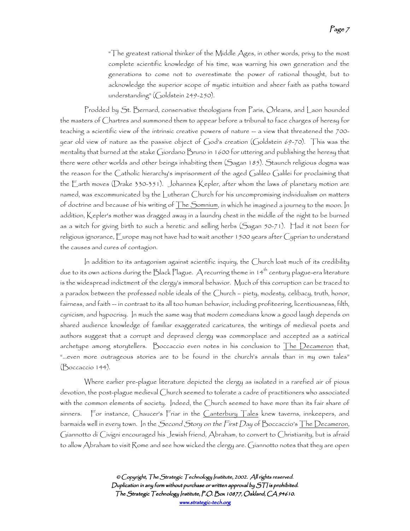"The greatest rational thinker of the Middle Ages, in other words, privy to the most complete scientific knowledge of his time, was warning his own generation and the generations to come not to overestimate the power of rational thought, but to acknowledge the superior scope of mystic intuition and sheer faith as paths toward understanding" (Goldstein 249-250).

Prodded by St. Bernard, conservative theologians from Paris, Orleans, and Laon hounded the masters of Chartres and summoned them to appear before a tribunal to face charges of heresy for teaching a scientific view of the intrinsic creative powers of nature -- a view that threatened the 700year old view of nature as the passive object of God's creation (Goldstein 69-70). This was the mentality that burned at the stake Giordano Bruno in 1600 for uttering and publishing the heresy that there were other worlds and other beings inhabiting them (Sagan 185). Staunch religious dogma was the reason for the Catholic hierarchy's imprisonment of the aged Galileo Galilei for proclaiming that the Earth moves (Drake 330-351). Johannes Kepler, after whom the laws of planetary motion are named, was excommunicated by the Lutheran Church for his uncompromising individualism on matters of doctrine and because of his writing of  $\overline{\text{The Somnium}}$ , in which he imagined a journey to the moon. In addition, Kepler's mother was dragged away in a laundry chest in the middle of the night to be burned as a witch for giving birth to such a heretic and selling herbs (Sagan 50-71). Had it not been for religious ignorance, Europe may not have had to wait another 1500 years after Cyprian to understand the causes and cures of contagion.

In addition to its antagonism against scientific inquiry, the Church lost much of its credibility due to its own actions during the Black Plague.  $\bm{\mathsf{A}}$  recurring theme in 14th century plague-era literature is the widespread indictment of the clergy's immoral behavior. Much of this corruption can be traced to a paradox between the professed noble ideals of the Church – piety, modesty, celibacy, truth, honor, fairness, and faith -- in contrast to its all too human behavior, including profiteering, licentiousness, filth, cynicism, and hypocrisy. In much the same way that modern comedians know a good laugh depends on shared audience knowledge of familiar exaggerated caricatures, the writings of medieval poets and authors suggest that a corrupt and depraved clergy was commonplace and accepted as a satirical archetype among storytellers. Boccaccio even notes in his conclusion to The Decameron that, "…even more outrageous stories are to be found in the church's annals than in my own tales" (Boccaccio 144).

Where earlier pre-plague literature depicted the clergy as isolated in a rarefied air of pious devotion, the post-plague medieval Church seemed to tolerate a cadre of practitioners who associated with the common elements of society. Indeed, the Church seemed to have more than its fair share of sinners. For instance, Chaucer's Friar in the Canterbury Tales knew taverns, innkeepers, and barmaids well in every town. In the *Second Story on the First Day* of Boccaccio's <u>The Decameron,</u> Giannotto di Civigni encouraged his Jewish friend, Abraham, to convert to Christianity, but is afraid to allow Abraham to visit Rome and see how wicked the clergy are. Giannotto notes that they are open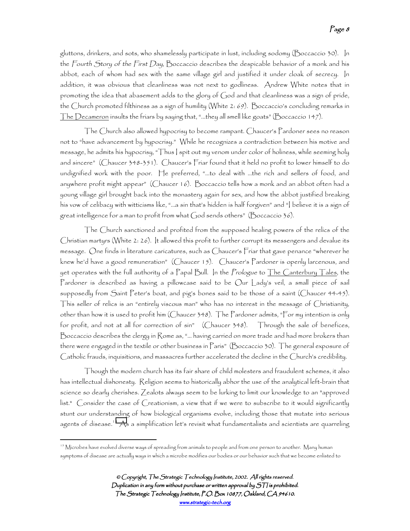gluttons, drinkers, and sots, who shamelessly participate in lust, including sodomy (Boccaccio 30). In the Fourth Story of the First Day, Boccaccio describes the despicable behavior of a monk and his abbot, each of whom had sex with the same village girl and justified it under cloak of secrecy. In addition, it was obvious that cleanliness was not next to godliness. Andrew White notes that in promoting the idea that abasement adds to the glory of God and that cleanliness was a sign of pride, the Church promoted filthiness as a sign of humility (White 2: 69). Boccaccio's concluding remarks in The Decameron insults the friars by saying that, "...they all smell like goats" (Boccaccio 147).

The Church also allowed hypocrisy to become rampant. Chaucer's Pardoner sees no reason not to "have advancement by hypocrisy." While he recognizes a contradiction between his motive and message, he admits his hypocrisy, "Thus I spit out my venom under color of holiness, while seeming holy and sincere" (Chaucer 348-351). Chaucer's Friar found that it held no profit to lower himself to do undignified work with the poor. He preferred, "...to deal with …the rich and sellers of food, and anywhere profit might appear" (Chaucer 16). Boccaccio tells how a monk and an abbot often had a young village girl brought back into the monastery again for sex, and how the abbot justified breaking his vow of celibacy with witticisms like, "…a sin that's hidden is half forgiven" and "I believe it is a sign of great intelligence for a man to profit from what God sends others" (Boccaccio 36).

The Church sanctioned and profited from the supposed healing powers of the relics of the Christian martyrs (White 2: 26). It allowed this profit to further corrupt its messengers and devalue its message. One finds in literature caricatures, such as Chaucer's Friar that gave penance "wherever he knew he'd have a good remuneration" (Chaucer 15). Chaucer's Pardoner is openly larcenous, and yet operates with the full authority of a Papal Bull. In the Prologue to <u>The Canterbury Tales,</u> the Pardoner is described as having a pillowcase said to be Our Lady's veil, a small piece of sail supposedly from Saint Peter's boat, and pig's bones said to be those of a saint (Chaucer 44-45). This seller of relics is an "entirely viscous man" who has no interest in the message of Christianity, other than how it is used to profit him (Chaucer 348). The Pardoner admits, "For my intention is only for profit, and not at all for correction of sin" (Chaucer 348). Through the sale of benefices, Boccaccio describes the clergy in Rome as, "… having carried on more trade and had more brokers than there were engaged in the textile or other business in Paris" (Boccaccio 30). The general exposure of Catholic frauds, inquisitions, and massacres further accelerated the decline in the Church's credibility.

Though the modern church has its fair share of child molesters and fraudulent schemes, it also has intellectual dishonesty. Religion seems to historically abhor the use of the analytical left-brain that science so dearly cherishes. Zealots always seem to be lurking to limit our knowledge to an "approved list." Consider the case of Creationism, a view that if we were to subscribe to it would significantly stunt our understanding of how biological organisms evolve, including those that mutate into serious agents of disease.<sup>15</sup> As a simplification let's revisit what fundamentalists and scientists are quarreling

<sup>&</sup>lt;sup>15</sup> Microbes have evolved diverse ways of spreading from animals to people and from one person to another. Many human symptoms of disease are actually ways in which a microbe modifies our bodies or our behavior such that we become enlisted to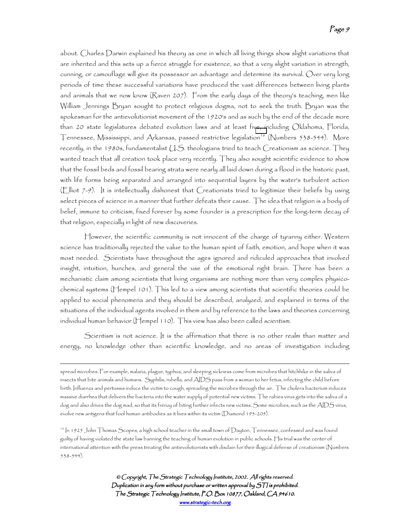about. Charles Darwin explained his theory as one in which all living things show slight variations that are inherited and this sets up a fierce struggle for existence, so that a very slight variation in strength, cunning, or camouflage will give its possessor an advantage and determine its survival. Over very long periods of time these successful variations have produced the vast differences between living plants and animals that we now know (Raven 207). From the early days of the theory's teaching, men like William Jennings Bryan sought to protect religious dogma, not to seek the truth. Bryan was the spokesman for the antievolutionist movement of the 1920's and as such by the end of the decade more than 20 state legislatures debated evolution laws and at least five, including Oklahoma, Florida, Tennessee, Mississippi, and Arkansas, passed restrictive legislation<sup>16</sup> (Numbers 538-544). More recently, in the 1980s, fundamentalist  $\cup$  S. theologians tried to teach Creationism as science. They wanted teach that all creation took place very recently. They also sought scientific evidence to show that the fossil beds and fossil bearing strata were nearly all laid down during a flood in the historic past, with life forms being separated and arranged into sequential layers by the water's turbulent action (Elliot 7-9). It is intellectually dishonest that Creationists tried to legitimize their beliefs by using select pieces of science in a manner that further defeats their cause. The idea that religion is a body of belief, immune to criticism, fixed forever by some founder is a prescription for the long-term decay of that religion, especially in light of new discoveries.

However, the scientific community is not innocent of the charge of tyranny either. Western science has traditionally rejected the value to the human spirit of faith, emotion, and hope when it was most needed. Scientists have throughout the ages ignored and ridiculed approaches that involved insight, intuition, hunches, and general the use of the emotional right brain. There has been a mechanistic claim among scientists that living organisms are nothing more than very complex physicochemical systems (Hempel 101). This led to a view among scientists that scientific theories could be applied to social phenomena and they should be described, analyzed, and explained in terms of the situations of the individual agents involved in them and by reference to the laws and theories concerning individual human behavior (Hempel 110). This view has also been called scientism.

Scientism is not science. It is the affirmation that there is no other realm than matter and energy, no knowledge other than scientific knowledge, and no areas of investigation including

 $\overline{a}$ 

spread microbes. For example, malaria, plague, typhus, and sleeping sickness come from microbes that hitchhike in the saliva of insects that bite animals and humans. Syphilis, rubella, and AIDS pass from a woman to her fetus, infecting the child before birth. Influenza and pertussis induce the victim to cough, spreading the microbes through the air. The cholera bacterium induces massive diarrhea that delivers the bacteria into the water supply of potential new victims. The rabies virus gets into the saliva of a dog and also drives the dog mad, so that its frenzy of biting further infects new victims. Some microbes, such as the AIDS virus, evolve new antigens that fool human antibodies as it lives within its victim (Diamond 195-205).

<sup>16</sup> In 1925 John Thomas Scopes, a high school teacher in the small town of Dayton, Tennessee, confessed and was found guilty of having violated the state law banning the teaching of human evolution in public schools. His trial was the center of international attention with the press treating the antievolutionists with disdain for their illogical defense of creationism (Numbers 538-544).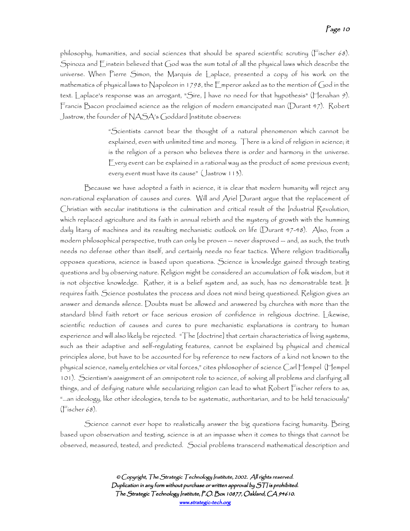philosophy, humanities, and social sciences that should be spared scientific scrutiny (Fischer 68). Spinoza and Einstein believed that God was the sum total of all the physical laws which describe the universe. When Pierre Simon, the Marquis de Laplace, presented a copy of his work on the mathematics of physical laws to Napoleon in 1798, the  $\mathsf E$  mperor asked as to the mention of God in the text. Laplace's response was an arrogant, "Sire, I have no need for that hypothesis" (Henahan 9). Francis Bacon proclaimed science as the religion of modern emancipated man (Durant 47). Robert Jastrow, the founder of NASA's Goddard Institute observes:

> "Scientists cannot bear the thought of a natural phenomenon which cannot be explained, even with unlimited time and money. There is a kind of religion in science; it is the religion of a person who believes there is order and harmony in the universe. Every event can be explained in a rational way as the product of some previous event; every event must have its cause" (Jastrow 113).

Because we have adopted a faith in science, it is clear that modern humanity will reject any non-rational explanation of causes and cures. Will and Ariel Durant argue that the replacement of Christian with secular institutions is the culmination and critical result of the Industrial Revolution, which replaced agriculture and its faith in annual rebirth and the mystery of growth with the humming daily litany of machines and its resulting mechanistic outlook on life (Durant 47-48). Also, from a modern philosophical perspective, truth can only be proven -- never disproved -- and, as such, the truth needs no defense other than itself, and certainly needs no fear tactics. Where religion traditionally opposes questions, science is based upon questions. Science is knowledge gained through testing questions and by observing nature. Religion might be considered an accumulation of folk wisdom, but it is not objective knowledge. Rather, it is a belief system and, as such, has no demonstrable test. It requires faith. Science postulates the process and does not mind being questioned. Religion gives an answer and demands silence. Doubts must be allowed and answered by churches with more than the standard blind faith retort or face serious erosion of confidence in religious doctrine. Likewise, scientific reduction of causes and cures to pure mechanistic explanations is contrary to human experience and will also likely be rejected. "The [doctrine] that certain characteristics of living systems, such as their adaptive and self-regulating features, cannot be explained by physical and chemical principles alone, but have to be accounted for by reference to new factors of a kind not known to the physical science, namely entelchies or vital forces," cites philosopher of science Carl Hempel (Hempel 101). Scientism's assignment of an omnipotent role to science, of solving all problems and clarifying all things, and of deifying nature while secularizing religion can lead to what Robert Fischer refers to as, "…an ideology, like other ideologies, tends to be systematic, authoritarian, and to be held tenaciously" (Fischer 68).

Science cannot ever hope to realistically answer the big questions facing humanity. Being based upon observation and testing, science is at an impasse when it comes to things that cannot be observed, measured, tested, and predicted. Social problems transcend mathematical description and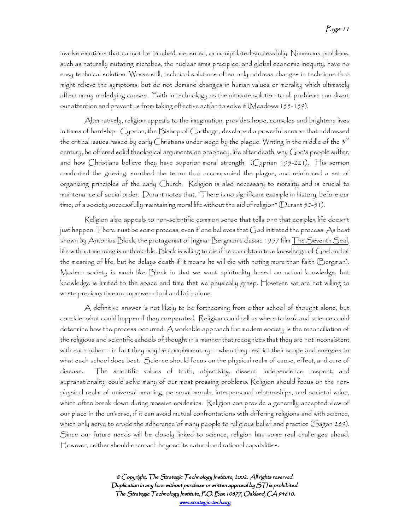involve emotions that cannot be touched, measured, or manipulated successfully. Numerous problems, such as naturally mutating microbes, the nuclear arms precipice, and global economic inequity, have no easy technical solution. Worse still, technical solutions often only address changes in technique that might relieve the symptoms, but do not demand changes in human values or morality which ultimately affect many underlying causes. Faith in technology as the ultimate solution to all problems can divert our attention and prevent us from taking effective action to solve it (Meadows 155-159).

Alternatively, religion appeals to the imagination, provides hope, consoles and brightens lives in times of hardship. Cyprian, the Bishop of Carthage, developed a powerful sermon that addressed the critical issues raised by early Christians under siege by the plague. Writing in the middle of the 3<sup>rd</sup> century, he offered solid theological arguments on prophecy, life after death, why God's people suffer, and how Christians believe they have superior moral strength (Cyprian 195-221). His sermon comforted the grieving, soothed the terror that accompanied the plague, and reinforced a set of organizing principles of the early Church. Religion is also necessary to morality and is crucial to maintenance of social order. Durant notes that, "There is no significant example in history, before our time, of a society successfully maintaining moral life without the aid of religion" (Durant 50-51).

Religion also appeals to non-scientific common sense that tells one that complex life doesn't just happen. There must be some process, even if one believes that God initiated the process. As best shown by Antonius Block, the protagonist of Ingmar Bergman's classic 1957 film The Seventh Seal, life without meaning is unthinkable. Block is willing to die if he can obtain true knowledge of God and of the meaning of life, but he delays death if it means he will die with noting more than faith (Bergman). Modern society is much like Block in that we want spirituality based on actual knowledge, but knowledge is limited to the space and time that we physically grasp. However, we are not willing to waste precious time on unproven ritual and faith alone.

A definitive answer is not likely to be forthcoming from either school of thought alone, but consider what could happen if they cooperated. Religion could tell us where to look and science could determine how the process occurred. A workable approach for modern society is the reconciliation of the religious and scientific schools of thought in a manner that recognizes that they are not inconsistent with each other -- in fact they may be complementary -- when they restrict their scope and energies to what each school does best. Science should focus on the physical realm of cause, effect, and cure of disease. The scientific values of truth, objectivity, dissent, independence, respect, and supranationality could solve many of our most pressing problems. Religion should focus on the nonphysical realm of universal meaning, personal morals, interpersonal relationships, and societal value, which often break down during massive epidemics. Religion can provide a generally accepted view of our place in the universe, if it can avoid mutual confrontations with differing religions and with science, which only serve to erode the adherence of many people to religious belief and practice (Sagan 289). Since our future needs will be closely linked to science, religion has some real challenges ahead. However, neither should encroach beyond its natural and rational capabilities.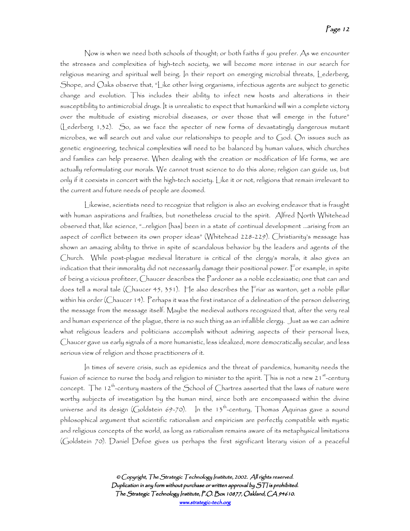Now is when we need both schools of thought; or both faiths if you prefer. As we encounter the stresses and complexities of high-tech society, we will become more intense in our search for religious meaning and spiritual well being. In their report on emerging microbial threats, Lederberg, Shope, and Oaks observe that, "Like other living organisms, infectious agents are subject to genetic change and evolution. This includes their ability to infect new hosts and alterations in their susceptibility to antimicrobial drugs. It is unrealistic to expect that humankind will win a complete victory over the multitude of existing microbial diseases, or over those that will emerge in the future" (Lederberg 1,32). So, as we face the specter of new forms of devastatingly dangerous mutant microbes, we will search out and value our relationships to people and to God. On issues such as genetic engineering, technical complexities will need to be balanced by human values, which churches and families can help preserve. When dealing with the creation or modification of life forms, we are actually reformulating our morals. We cannot trust science to do this alone; religion can guide us, but only if it coexists in concert with the high-tech society. Like it or not, religions that remain irrelevant to the current and future needs of people are doomed.

Likewise, scientists need to recognize that religion is also an evolving endeavor that is fraught with human aspirations and frailties, but nonetheless crucial to the spirit. Alfred North Whitehead observed that, like science, "…religion [has] been in a state of continual development …arising from an aspect of conflict between its own proper ideas" (Whitehead 228-229). Christianity's message has shown an amazing ability to thrive in spite of scandalous behavior by the leaders and agents of the Church. While post-plague medieval literature is critical of the clergy's morals, it also gives an indication that their immorality did not necessarily damage their positional power. For example, in spite of being a vicious profiteer, Chaucer describes the Pardoner as a noble ecclesiastic; one that can and does tell a moral tale (Chaucer 45, 351). He also describes the Friar as wanton, yet a noble pillar within his order (Chaucer 14). Perhaps it was the first instance of a delineation of the person delivering the message from the message itself. Maybe the medieval authors recognized that, after the very real and human experience of the plague, there is no such thing as an infallible clergy. Just as we can admire what religious leaders and politicians accomplish without admiring aspects of their personal lives, Chaucer gave us early signals of a more humanistic, less idealized, more democratically secular, and less serious view of religion and those practitioners of it.

In times of severe crisis, such as epidemics and the threat of pandemics, humanity needs the fusion of science to nurse the body and religion to minister to the spirit. This is not a new 21  $^{\rm st}$ -century concept. The 12<sup>th</sup>-century masters of the School of Chartres asserted that the laws of nature were worthy subjects of investigation by the human mind, since both are encompassed within the divine universe and its design (Goldstein 69-70). In the 13<sup>th</sup>-century, Thomas Aquinas gave a sound philosophical argument that scientific rationalism and empiricism are perfectly compatible with mystic and religious concepts of the world, as long as rationalism remains aware of its metaphysical limitations (Goldstein 70). Daniel Defoe gives us perhaps the first significant literary vision of a peaceful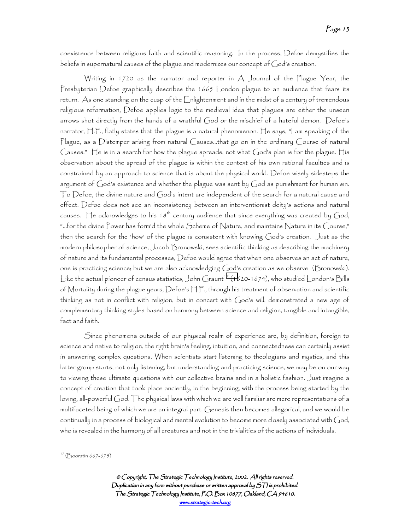coexistence between religious faith and scientific reasoning. In the process, Defoe demystifies the beliefs in supernatural causes of the plague and modernizes our concept of God's creation.

Writing in 1720 as the narrator and reporter in  $A$  Journal of the Plague Year, the Presbyterian Defoe graphically describes the 1665 London plague to an audience that fears its return. As one standing on the cusp of the Enlightenment and in the midst of a century of tremendous religious reformation, Defoe applies logic to the medieval idea that plagues are either the unseen arrows shot directly from the hands of a wrathful God or the mischief of a hateful demon. Defoe's narrator, H.F., flatly states that the plague is a natural phenomenon. He says, "I am speaking of the Plague, as a Distemper arising from natural Causes…that go on in the ordinary Course of natural Causes." He is in a search for how the plague spreads, not what God's plan is for the plague. His observation about the spread of the plague is within the context of his own rational faculties and is constrained by an approach to science that is about the physical world. Defoe wisely sidesteps the argument of God's existence and whether the plague was sent by God as punishment for human sin. To Defoe, the divine nature and God's intent are independent of the search for a natural cause and effect. Defoe does not see an inconsistency between an interventionist deity's actions and natural causes. He acknowledges to his 18<sup>th</sup> century audience that since everything was created by God, "…for the divine Power has form'd the whole Scheme of Nature, and maintains Nature in its Course," then the search for the 'how' of the plague is consistent with knowing God's creation. Just as the modern philosopher of science, Jacob Bronowski, sees scientific thinking as describing the machinery of nature and its fundamental processes, Defoe would agree that when one observes an act of nature, one is practicing science; but we are also acknowledging God's creation as we observe (Bronowski). Like the actual pioneer of census statistics, John Graunt<sup>17</sup> (1620-1674), who studied London's Bills of Mortality during the plague years, Defoe's H.F., through his treatment of observation and scientific thinking as not in conflict with religion, but in concert with God's will, demonstrated a new age of complementary thinking styles based on harmony between science and religion, tangible and intangible, fact and faith.

Since phenomena outside of our physical realm of experience are, by definition, foreign to science and native to religion, the right brain's feeling, intuition, and connectedness can certainly assist in answering complex questions. When scientists start listening to theologians and mystics, and this latter group starts, not only listening, but understanding and practicing science, we may be on our way to viewing these ultimate questions with our collective brains and in a holistic fashion. Just imagine a concept of creation that took place anciently, in the beginning, with the process being started by the loving, all-powerful God. The physical laws with which we are well familiar are mere representations of a multifaceted being of which we are an integral part. Genesis then becomes allegorical, and we would be continually in a process of biological and mental evolution to become more closely associated with God, who is revealed in the harmony of all creatures and not in the trivialities of the actions of individuals.

<sup>17 (</sup>Boorstin 667-675)

<sup>©</sup> Copyright, The Strategic Technology Institute, 2002. All rights reserved. Duplication in any form without purchase or written approval by  $S\mathcal{T}$  is prohibited. The Strategic Technology Institute, P.O. Box 10877, Oakland, CA 94610. www.strategic-tech.org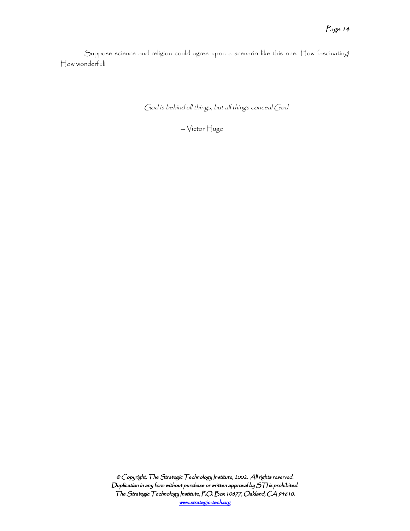Suppose science and religion could agree upon a scenario like this one. How fascinating! How wonderful!

God is behind all things, but all things conceal God.

-- Victor Hugo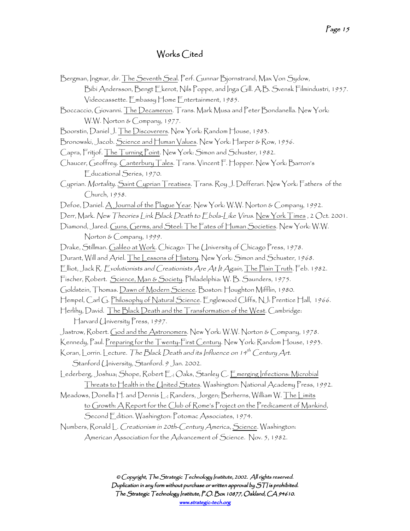# Works Cited

| Bergman, Ingmar, dir. The Seventh Seal. Perf. Gunnar Bjornstrand, Max Von Sydow,                  |
|---------------------------------------------------------------------------------------------------|
| Bibi Andersson, Bengt Ekerot, Nils Poppe, and Inga Gill. A.B. Svensk Filmindustri, 1957.          |
| $\lor$ ídeocassette. Embassy $\sqcap$ ome Entertainment, 1985.                                    |
| Boccaccio, Giovanni. The Decameron. Trans. Mark Musa and Peter Bondanella. New York:              |
| W.W. Norton & Company, 1977.                                                                      |
| Boorstin, Daniel J. The Discoverers. New York: Random House, 1983.                                |
| Bronowski, Jacob. <u>Science and Human Values</u> . New York: Harper & Row, 1956.                 |
| Capra, Fritjof. The Turning Point. New York: Simon and Schuster, 1982.                            |
| Chaucer, Geoffrey. <u>Canterbury Tales</u> . Trans. Vincent F. Hopper. New York: Barron's         |
| Educational Series, 1970.                                                                         |
| Cyprian. Mortality. Saint Cyprian Treatises. Trans. Roy J. Defferari. New York: Fathers of the    |
| Church, 1958.                                                                                     |
| Defoe, Daniel. A Journal of the Plague Year. New York: W.W. Norton & Company, 1992.               |
| Derr, Mark. New Theories Link Black Death to Ebola-Like Virus. New York Times, 2 Oct. 2001.       |
| Díamond, Jared. Guns, Germs, and Steel: The Fates of Human Societies. New York: W.W.              |
| Norton & Company, 1999.                                                                           |
| Drake, Stillman. Galileo at Work. Chicago: The University of Chicago Press, 1978.                 |
| Durant, Will and Ariel. The Lessons of History. New York: Simon and Schuster, 1968.               |
| Elliot, Jack R. Evolutionists and Creationists Are At It Again, The Plain Truth. Feb. 1982.       |
| Fischer, Robert. Science, Man & Society. Philadelphia: W. B. Saunders, 1975.                      |
| Goldstein, Thomas. Dawn of Modern Science. Boston: Houghton Mifflin, 1980.                        |
| Hempel, Carl G. <u>Philosophy of Natural Science</u> . Englewood Cliffs, NJ: Prentice Hall, 1966. |
| Herlihy, David. The Black Death and the Transformation of the West. Cambridge:                    |
| Harvard University Press, 1997.                                                                   |
| Jastrow, Robert. <u>God and the Astronomers</u> . New York: W.W. Norton & Company, 1 <i>978</i> . |
| Kennedy, Paul. Preparing for the Twenty-First Century. New York: Random House, 1993.              |
| Koran, Lorrin. Lecture. The Black Death and its Influence on 14 <sup>th</sup> Century Art.        |
| Stanford University, Stanford. 9 Jan. 2002.                                                       |
| Lederberg, Joshua; Shope, Robert E.; Oaks, Stanley C. Emerging Infections: Microbial              |
| Threats to Health in the United States. Washington: National Academy Press, 1992.                 |
| Meadows, Donella H. and Dennis L.; Randers, Jorgen; Berherns, William W. <u>The Limits</u>        |
| to Growth: A Report for the Club of Rome's Project on the Predicament of Mankind,                 |
| Second Edition. Washington: Potomac Associates, 1974.                                             |
| Numbers, Ronald L. Creationism in 20th-Century America, Science. Washington:                      |
| American Association for the Advancement of Science. Nov. 5, 1982.                                |